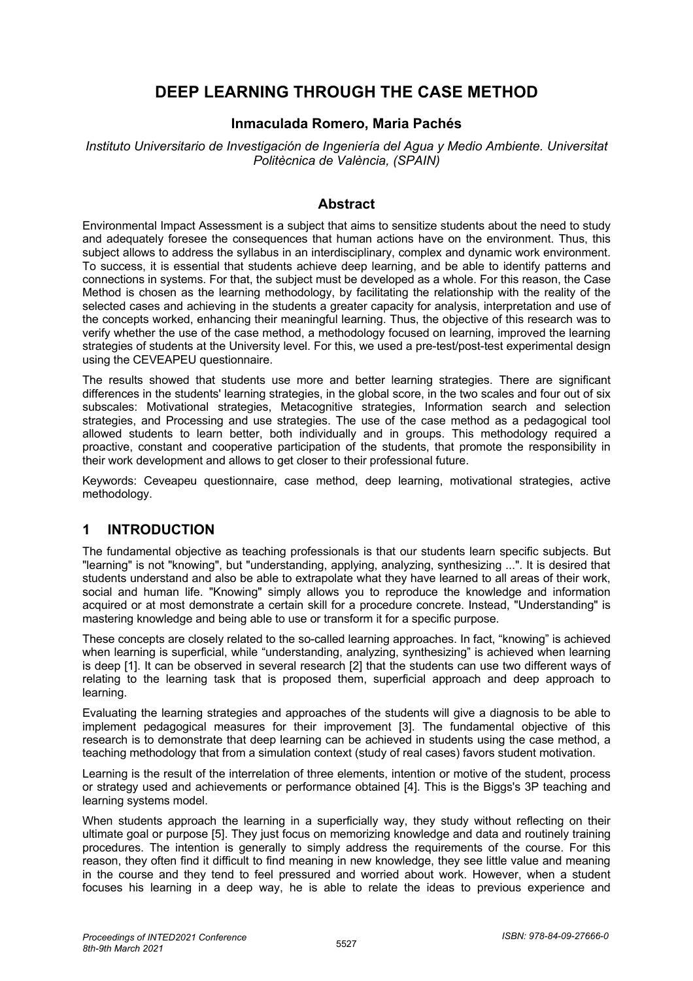# **DEEP LEARNING THROUGH THE CASE METHOD**

#### **Inmaculada Romero, Maria Pachés**

*Instituto Universitario de Investigación de Ingeniería del Agua y Medio Ambiente. Universitat Politècnica de València, (SPAIN)*

#### **Abstract**

Environmental Impact Assessment is a subject that aims to sensitize students about the need to study and adequately foresee the consequences that human actions have on the environment. Thus, this subject allows to address the syllabus in an interdisciplinary, complex and dynamic work environment. To success, it is essential that students achieve deep learning, and be able to identify patterns and connections in systems. For that, the subject must be developed as a whole. For this reason, the Case Method is chosen as the learning methodology, by facilitating the relationship with the reality of the selected cases and achieving in the students a greater capacity for analysis, interpretation and use of the concepts worked, enhancing their meaningful learning. Thus, the objective of this research was to verify whether the use of the case method, a methodology focused on learning, improved the learning strategies of students at the University level. For this, we used a pre-test/post-test experimental design using the CEVEAPEU questionnaire.

The results showed that students use more and better learning strategies. There are significant differences in the students' learning strategies, in the global score, in the two scales and four out of six subscales: Motivational strategies, Metacognitive strategies, Information search and selection strategies, and Processing and use strategies. The use of the case method as a pedagogical tool allowed students to learn better, both individually and in groups. This methodology required a proactive, constant and cooperative participation of the students, that promote the responsibility in their work development and allows to get closer to their professional future.

Keywords: Ceveapeu questionnaire, case method, deep learning, motivational strategies, active methodology.

# **1 INTRODUCTION**

The fundamental objective as teaching professionals is that our students learn specific subjects. But "learning" is not "knowing", but "understanding, applying, analyzing, synthesizing ...". It is desired that students understand and also be able to extrapolate what they have learned to all areas of their work, social and human life. "Knowing" simply allows you to reproduce the knowledge and information acquired or at most demonstrate a certain skill for a procedure concrete. Instead, "Understanding" is mastering knowledge and being able to use or transform it for a specific purpose.

These concepts are closely related to the so-called learning approaches. In fact, "knowing" is achieved when learning is superficial, while "understanding, analyzing, synthesizing" is achieved when learning is deep [1]. It can be observed in several research [2] that the students can use two different ways of relating to the learning task that is proposed them, superficial approach and deep approach to learning.

Evaluating the learning strategies and approaches of the students will give a diagnosis to be able to implement pedagogical measures for their improvement [3]. The fundamental objective of this research is to demonstrate that deep learning can be achieved in students using the case method, a teaching methodology that from a simulation context (study of real cases) favors student motivation.

Learning is the result of the interrelation of three elements, intention or motive of the student, process or strategy used and achievements or performance obtained [4]. This is the Biggs's 3P teaching and learning systems model.

When students approach the learning in a superficially way, they study without reflecting on their ultimate goal or purpose [5]. They just focus on memorizing knowledge and data and routinely training procedures. The intention is generally to simply address the requirements of the course. For this reason, they often find it difficult to find meaning in new knowledge, they see little value and meaning in the course and they tend to feel pressured and worried about work. However, when a student focuses his learning in a deep way, he is able to relate the ideas to previous experience and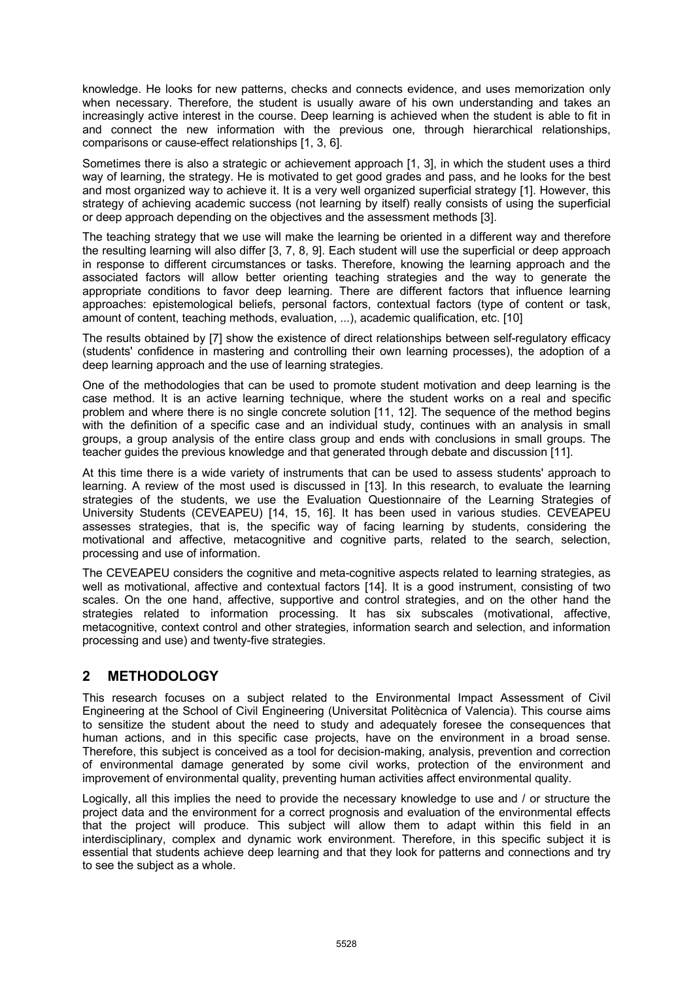knowledge. He looks for new patterns, checks and connects evidence, and uses memorization only when necessary. Therefore, the student is usually aware of his own understanding and takes an increasingly active interest in the course. Deep learning is achieved when the student is able to fit in and connect the new information with the previous one, through hierarchical relationships, comparisons or cause-effect relationships [1, 3, 6].

Sometimes there is also a strategic or achievement approach [1, 3], in which the student uses a third way of learning, the strategy. He is motivated to get good grades and pass, and he looks for the best and most organized way to achieve it. It is a very well organized superficial strategy [1]. However, this strategy of achieving academic success (not learning by itself) really consists of using the superficial or deep approach depending on the objectives and the assessment methods [3].

The teaching strategy that we use will make the learning be oriented in a different way and therefore the resulting learning will also differ [3, 7, 8, 9]. Each student will use the superficial or deep approach in response to different circumstances or tasks. Therefore, knowing the learning approach and the associated factors will allow better orienting teaching strategies and the way to generate the appropriate conditions to favor deep learning. There are different factors that influence learning approaches: epistemological beliefs, personal factors, contextual factors (type of content or task, amount of content, teaching methods, evaluation, ...), academic qualification, etc. [10]

The results obtained by [7] show the existence of direct relationships between self-regulatory efficacy (students' confidence in mastering and controlling their own learning processes), the adoption of a deep learning approach and the use of learning strategies.

One of the methodologies that can be used to promote student motivation and deep learning is the case method. It is an active learning technique, where the student works on a real and specific problem and where there is no single concrete solution [11, 12]. The sequence of the method begins with the definition of a specific case and an individual study, continues with an analysis in small groups, a group analysis of the entire class group and ends with conclusions in small groups. The teacher guides the previous knowledge and that generated through debate and discussion [11].

At this time there is a wide variety of instruments that can be used to assess students' approach to learning. A review of the most used is discussed in [13]. In this research, to evaluate the learning strategies of the students, we use the Evaluation Questionnaire of the Learning Strategies of University Students (CEVEAPEU) [14, 15, 16]. It has been used in various studies. CEVEAPEU assesses strategies, that is, the specific way of facing learning by students, considering the motivational and affective, metacognitive and cognitive parts, related to the search, selection, processing and use of information.

The CEVEAPEU considers the cognitive and meta-cognitive aspects related to learning strategies, as well as motivational, affective and contextual factors [14]. It is a good instrument, consisting of two scales. On the one hand, affective, supportive and control strategies, and on the other hand the strategies related to information processing. It has six subscales (motivational, affective, metacognitive, context control and other strategies, information search and selection, and information processing and use) and twenty-five strategies.

# **2 METHODOLOGY**

This research focuses on a subject related to the Environmental Impact Assessment of Civil Engineering at the School of Civil Engineering (Universitat Politècnica of Valencia). This course aims to sensitize the student about the need to study and adequately foresee the consequences that human actions, and in this specific case projects, have on the environment in a broad sense. Therefore, this subject is conceived as a tool for decision-making, analysis, prevention and correction of environmental damage generated by some civil works, protection of the environment and improvement of environmental quality, preventing human activities affect environmental quality.

Logically, all this implies the need to provide the necessary knowledge to use and / or structure the project data and the environment for a correct prognosis and evaluation of the environmental effects that the project will produce. This subject will allow them to adapt within this field in an interdisciplinary, complex and dynamic work environment. Therefore, in this specific subject it is essential that students achieve deep learning and that they look for patterns and connections and try to see the subject as a whole.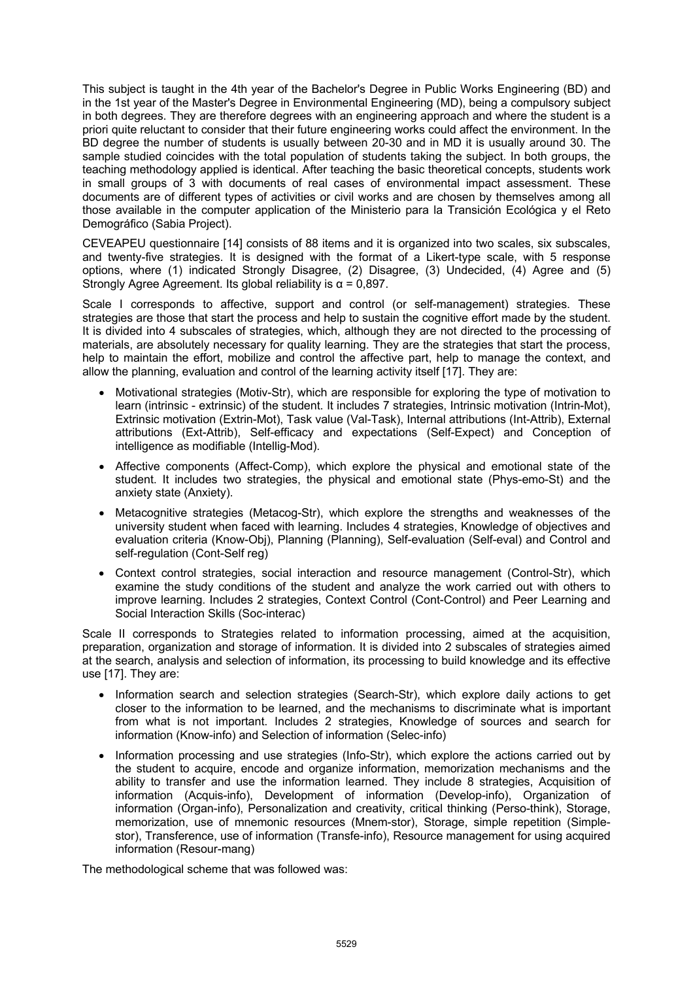This subject is taught in the 4th year of the Bachelor's Degree in Public Works Engineering (BD) and in the 1st year of the Master's Degree in Environmental Engineering (MD), being a compulsory subject in both degrees. They are therefore degrees with an engineering approach and where the student is a priori quite reluctant to consider that their future engineering works could affect the environment. In the BD degree the number of students is usually between 20-30 and in MD it is usually around 30. The sample studied coincides with the total population of students taking the subject. In both groups, the teaching methodology applied is identical. After teaching the basic theoretical concepts, students work in small groups of 3 with documents of real cases of environmental impact assessment. These documents are of different types of activities or civil works and are chosen by themselves among all those available in the computer application of the Ministerio para la Transición Ecológica y el Reto Demográfico (Sabia Project).

CEVEAPEU questionnaire [14] consists of 88 items and it is organized into two scales, six subscales, and twenty-five strategies. It is designed with the format of a Likert-type scale, with 5 response options, where (1) indicated Strongly Disagree, (2) Disagree, (3) Undecided, (4) Agree and (5) Strongly Agree Agreement. Its global reliability is  $\alpha$  = 0,897.

Scale I corresponds to affective, support and control (or self-management) strategies. These strategies are those that start the process and help to sustain the cognitive effort made by the student. It is divided into 4 subscales of strategies, which, although they are not directed to the processing of materials, are absolutely necessary for quality learning. They are the strategies that start the process, help to maintain the effort, mobilize and control the affective part, help to manage the context, and allow the planning, evaluation and control of the learning activity itself [17]. They are:

- Motivational strategies (Motiv-Str), which are responsible for exploring the type of motivation to learn (intrinsic - extrinsic) of the student. It includes 7 strategies, Intrinsic motivation (Intrin-Mot), Extrinsic motivation (Extrin-Mot), Task value (Val-Task), Internal attributions (Int-Attrib), External attributions (Ext-Attrib), Self-efficacy and expectations (Self-Expect) and Conception of intelligence as modifiable (Intellig-Mod).
- Affective components (Affect-Comp), which explore the physical and emotional state of the student. It includes two strategies, the physical and emotional state (Phys-emo-St) and the anxiety state (Anxiety).
- Metacognitive strategies (Metacog-Str), which explore the strengths and weaknesses of the university student when faced with learning. Includes 4 strategies, Knowledge of objectives and evaluation criteria (Know-Obj), Planning (Planning), Self-evaluation (Self-eval) and Control and self-regulation (Cont-Self reg)
- Context control strategies, social interaction and resource management (Control-Str), which examine the study conditions of the student and analyze the work carried out with others to improve learning. Includes 2 strategies, Context Control (Cont-Control) and Peer Learning and Social Interaction Skills (Soc-interac)

Scale II corresponds to Strategies related to information processing, aimed at the acquisition, preparation, organization and storage of information. It is divided into 2 subscales of strategies aimed at the search, analysis and selection of information, its processing to build knowledge and its effective use [17]. They are:

- Information search and selection strategies (Search-Str), which explore daily actions to get closer to the information to be learned, and the mechanisms to discriminate what is important from what is not important. Includes 2 strategies, Knowledge of sources and search for information (Know-info) and Selection of information (Selec-info)
- Information processing and use strategies (Info-Str), which explore the actions carried out by the student to acquire, encode and organize information, memorization mechanisms and the ability to transfer and use the information learned. They include 8 strategies, Acquisition of information (Acquis-info), Development of information (Develop-info), Organization of information (Organ-info), Personalization and creativity, critical thinking (Perso-think), Storage, memorization, use of mnemonic resources (Mnem-stor), Storage, simple repetition (Simplestor), Transference, use of information (Transfe-info), Resource management for using acquired information (Resour-mang)

The methodological scheme that was followed was: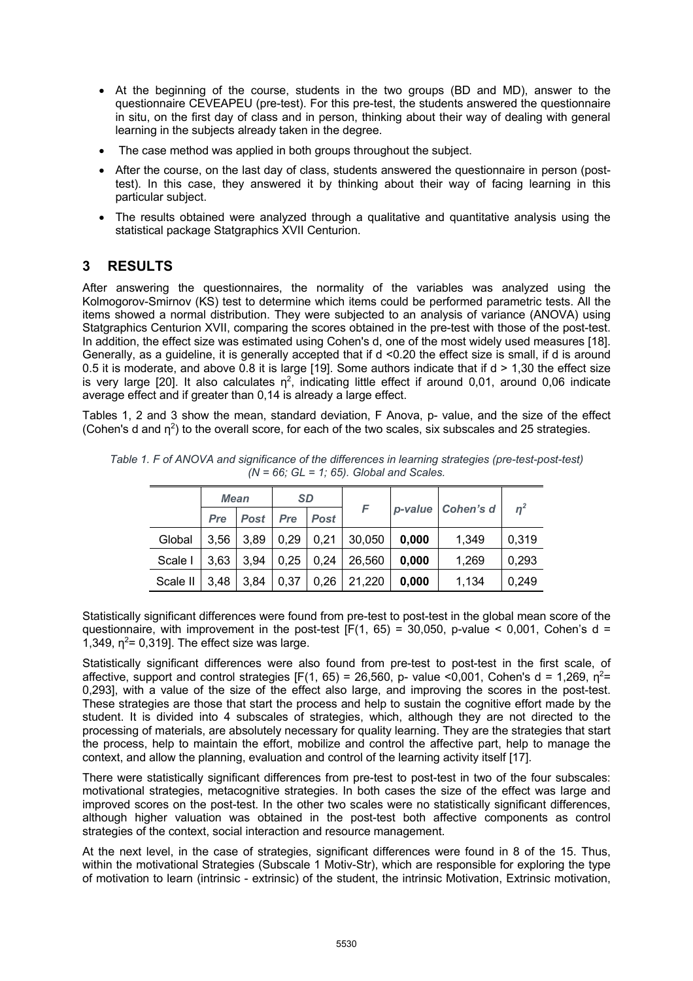- At the beginning of the course, students in the two groups (BD and MD), answer to the questionnaire CEVEAPEU (pre-test). For this pre-test, the students answered the questionnaire in situ, on the first day of class and in person, thinking about their way of dealing with general learning in the subjects already taken in the degree.
- The case method was applied in both groups throughout the subject.
- After the course, on the last day of class, students answered the questionnaire in person (posttest). In this case, they answered it by thinking about their way of facing learning in this particular subject.
- The results obtained were analyzed through a qualitative and quantitative analysis using the statistical package Statgraphics XVII Centurion.

# **3 RESULTS**

After answering the questionnaires, the normality of the variables was analyzed using the Kolmogorov-Smirnov (KS) test to determine which items could be performed parametric tests. All the items showed a normal distribution. They were subjected to an analysis of variance (ANOVA) using Statgraphics Centurion XVII, comparing the scores obtained in the pre-test with those of the post-test. In addition, the effect size was estimated using Cohen's d, one of the most widely used measures [18]. Generally, as a guideline, it is generally accepted that if d <0.20 the effect size is small, if d is around 0.5 it is moderate, and above 0.8 it is large [19]. Some authors indicate that if  $d > 1,30$  the effect size is very large [20]. It also calculates  $\eta^2$ , indicating little effect if around 0,01, around 0,06 indicate average effect and if greater than 0,14 is already a large effect.

Tables 1, 2 and 3 show the mean, standard deviation, F Anova, p- value, and the size of the effect (Cohen's d and  $n^2$ ) to the overall score, for each of the two scales, six subscales and 25 strategies.

| <b>Mean</b> |      | <b>SD</b> |      |             |        |       |                     |       |
|-------------|------|-----------|------|-------------|--------|-------|---------------------|-------|
|             | Pre  | Post      | Pre  | <b>Post</b> | F      |       | p-value   Cohen's d | $n^2$ |
| Global      | 3,56 | 3,89      | 0,29 | 0,21        | 30,050 | 0,000 | 1,349               | 0,319 |
| Scale I     | 3,63 | 3,94      | 0,25 | 0,24        | 26,560 | 0,000 | 1,269               | 0,293 |
| Scale II    | 3,48 | 3,84      | 0,37 | 0,26        | 21,220 | 0,000 | 1.134               | 0.249 |

*Table 1. F of ANOVA and significance of the differences in learning strategies (pre-test-post-test) (N = 66; GL = 1; 65). Global and Scales.*

Statistically significant differences were found from pre-test to post-test in the global mean score of the questionnaire, with improvement in the post-test  $[F(1, 65) = 30,050, p-value < 0,001, Cohen's d =$ 1,349,  $\eta^2$ = 0,319]. The effect size was large.

Statistically significant differences were also found from pre-test to post-test in the first scale, of affective, support and control strategies  $[F(1, 65) = 26,560, p$ - value <0,001, Cohen's d = 1,269,  $n^2$ = 0,293], with a value of the size of the effect also large, and improving the scores in the post-test. These strategies are those that start the process and help to sustain the cognitive effort made by the student. It is divided into 4 subscales of strategies, which, although they are not directed to the processing of materials, are absolutely necessary for quality learning. They are the strategies that start the process, help to maintain the effort, mobilize and control the affective part, help to manage the context, and allow the planning, evaluation and control of the learning activity itself [17].

There were statistically significant differences from pre-test to post-test in two of the four subscales: motivational strategies, metacognitive strategies. In both cases the size of the effect was large and improved scores on the post-test. In the other two scales were no statistically significant differences, although higher valuation was obtained in the post-test both affective components as control strategies of the context, social interaction and resource management.

At the next level, in the case of strategies, significant differences were found in 8 of the 15. Thus, within the motivational Strategies (Subscale 1 Motiv-Str), which are responsible for exploring the type of motivation to learn (intrinsic - extrinsic) of the student, the intrinsic Motivation, Extrinsic motivation,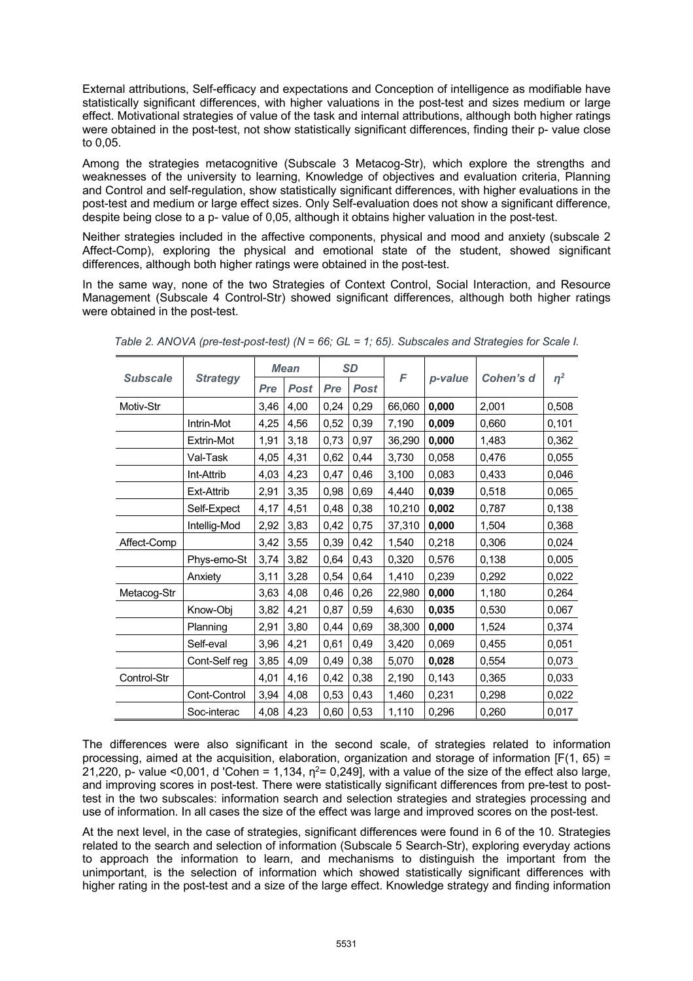External attributions, Self-efficacy and expectations and Conception of intelligence as modifiable have statistically significant differences, with higher valuations in the post-test and sizes medium or large effect. Motivational strategies of value of the task and internal attributions, although both higher ratings were obtained in the post-test, not show statistically significant differences, finding their p- value close to 0,05.

Among the strategies metacognitive (Subscale 3 Metacog-Str), which explore the strengths and weaknesses of the university to learning, Knowledge of objectives and evaluation criteria, Planning and Control and self-regulation, show statistically significant differences, with higher evaluations in the post-test and medium or large effect sizes. Only Self-evaluation does not show a significant difference, despite being close to a p- value of 0,05, although it obtains higher valuation in the post-test.

Neither strategies included in the affective components, physical and mood and anxiety (subscale 2 Affect-Comp), exploring the physical and emotional state of the student, showed significant differences, although both higher ratings were obtained in the post-test.

In the same way, none of the two Strategies of Context Control, Social Interaction, and Resource Management (Subscale 4 Control-Str) showed significant differences, although both higher ratings were obtained in the post-test.

|                                    |               | <b>Mean</b> |             | <b>SD</b> |             |        |         |           |          |
|------------------------------------|---------------|-------------|-------------|-----------|-------------|--------|---------|-----------|----------|
| <b>Subscale</b><br><b>Strategy</b> |               | Pre         | <b>Post</b> | Pre       | <b>Post</b> | F      | p-value | Cohen's d | $\eta^2$ |
| Motiv-Str                          |               | 3,46        | 4,00        | 0,24      | 0,29        | 66,060 | 0,000   | 2,001     | 0,508    |
|                                    | Intrin-Mot    | 4,25        | 4,56        | 0,52      | 0,39        | 7,190  | 0,009   | 0,660     | 0,101    |
|                                    | Extrin-Mot    | 1,91        | 3,18        | 0,73      | 0,97        | 36,290 | 0,000   | 1,483     | 0,362    |
|                                    | Val-Task      | 4,05        | 4,31        | 0,62      | 0,44        | 3,730  | 0,058   | 0,476     | 0,055    |
|                                    | Int-Attrib    | 4,03        | 4,23        | 0,47      | 0,46        | 3,100  | 0,083   | 0,433     | 0,046    |
|                                    | Ext-Attrib    | 2,91        | 3,35        | 0,98      | 0,69        | 4,440  | 0,039   | 0,518     | 0,065    |
|                                    | Self-Expect   | 4,17        | 4,51        | 0,48      | 0,38        | 10,210 | 0,002   | 0,787     | 0,138    |
|                                    | Intellig-Mod  | 2,92        | 3,83        | 0,42      | 0,75        | 37,310 | 0,000   | 1,504     | 0,368    |
| Affect-Comp                        |               | 3,42        | 3,55        | 0,39      | 0,42        | 1,540  | 0,218   | 0,306     | 0,024    |
|                                    | Phys-emo-St   | 3,74        | 3,82        | 0,64      | 0,43        | 0,320  | 0,576   | 0,138     | 0,005    |
|                                    | Anxiety       | 3,11        | 3,28        | 0,54      | 0,64        | 1,410  | 0,239   | 0,292     | 0,022    |
| Metacog-Str                        |               | 3,63        | 4,08        | 0,46      | 0,26        | 22,980 | 0,000   | 1,180     | 0,264    |
|                                    | Know-Obj      | 3,82        | 4,21        | 0,87      | 0,59        | 4,630  | 0,035   | 0,530     | 0,067    |
|                                    | Planning      | 2,91        | 3,80        | 0,44      | 0,69        | 38,300 | 0,000   | 1,524     | 0,374    |
|                                    | Self-eval     | 3,96        | 4,21        | 0,61      | 0,49        | 3,420  | 0,069   | 0,455     | 0,051    |
|                                    | Cont-Self reg | 3,85        | 4,09        | 0,49      | 0,38        | 5,070  | 0,028   | 0,554     | 0,073    |
| Control-Str                        |               | 4,01        | 4,16        | 0,42      | 0,38        | 2,190  | 0,143   | 0,365     | 0,033    |
|                                    | Cont-Control  | 3,94        | 4,08        | 0,53      | 0,43        | 1,460  | 0,231   | 0,298     | 0,022    |
|                                    | Soc-interac   | 4,08        | 4,23        | 0,60      | 0,53        | 1,110  | 0,296   | 0,260     | 0,017    |

*Table 2. ANOVA (pre-test-post-test) (N = 66; GL = 1; 65). Subscales and Strategies for Scale I.* 

The differences were also significant in the second scale, of strategies related to information processing, aimed at the acquisition, elaboration, organization and storage of information  $[F(1, 65) =$ 21,220, p- value <0,001, d 'Cohen = 1,134,  $n^2$ = 0,249], with a value of the size of the effect also large, and improving scores in post-test. There were statistically significant differences from pre-test to posttest in the two subscales: information search and selection strategies and strategies processing and use of information. In all cases the size of the effect was large and improved scores on the post-test.

At the next level, in the case of strategies, significant differences were found in 6 of the 10. Strategies related to the search and selection of information (Subscale 5 Search-Str), exploring everyday actions to approach the information to learn, and mechanisms to distinguish the important from the unimportant, is the selection of information which showed statistically significant differences with higher rating in the post-test and a size of the large effect. Knowledge strategy and finding information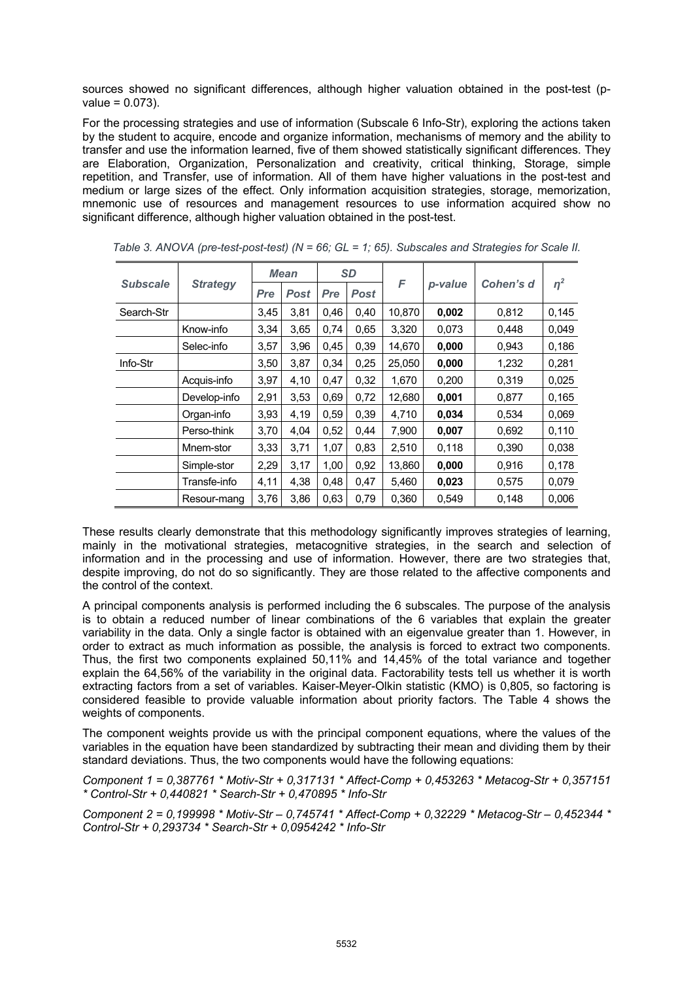sources showed no significant differences, although higher valuation obtained in the post-test (pvalue = 0.073).

For the processing strategies and use of information (Subscale 6 Info-Str), exploring the actions taken by the student to acquire, encode and organize information, mechanisms of memory and the ability to transfer and use the information learned, five of them showed statistically significant differences. They are Elaboration, Organization, Personalization and creativity, critical thinking, Storage, simple repetition, and Transfer, use of information. All of them have higher valuations in the post-test and medium or large sizes of the effect. Only information acquisition strategies, storage, memorization, mnemonic use of resources and management resources to use information acquired show no significant difference, although higher valuation obtained in the post-test.

|                 |                 | <b>Mean</b> |             | <b>SD</b> |             |        |         |           |          |
|-----------------|-----------------|-------------|-------------|-----------|-------------|--------|---------|-----------|----------|
| <b>Subscale</b> | <b>Strategy</b> | Pre         | <b>Post</b> | Pre       | <b>Post</b> | F      | p-value | Cohen's d | $\eta^2$ |
| Search-Str      |                 | 3,45        | 3,81        | 0,46      | 0,40        | 10,870 | 0,002   | 0,812     | 0,145    |
|                 | Know-info       | 3,34        | 3,65        | 0,74      | 0,65        | 3,320  | 0,073   | 0,448     | 0,049    |
|                 | Selec-info      | 3,57        | 3,96        | 0,45      | 0,39        | 14,670 | 0,000   | 0,943     | 0,186    |
| Info-Str        |                 | 3,50        | 3,87        | 0,34      | 0,25        | 25,050 | 0,000   | 1,232     | 0,281    |
|                 | Acquis-info     | 3,97        | 4,10        | 0,47      | 0,32        | 1,670  | 0,200   | 0,319     | 0,025    |
|                 | Develop-info    | 2,91        | 3,53        | 0,69      | 0,72        | 12,680 | 0,001   | 0,877     | 0,165    |
|                 | Organ-info      | 3,93        | 4,19        | 0,59      | 0,39        | 4,710  | 0,034   | 0,534     | 0,069    |
|                 | Perso-think     | 3,70        | 4,04        | 0,52      | 0,44        | 7,900  | 0,007   | 0,692     | 0,110    |
|                 | Mnem-stor       | 3,33        | 3,71        | 1,07      | 0,83        | 2,510  | 0,118   | 0,390     | 0,038    |
|                 | Simple-stor     | 2,29        | 3,17        | 1,00      | 0,92        | 13,860 | 0,000   | 0,916     | 0,178    |
|                 | Transfe-info    | 4,11        | 4,38        | 0,48      | 0,47        | 5,460  | 0,023   | 0,575     | 0,079    |
|                 | Resour-mang     | 3,76        | 3,86        | 0,63      | 0,79        | 0,360  | 0,549   | 0,148     | 0,006    |

*Table 3. ANOVA (pre-test-post-test) (N = 66; GL = 1; 65). Subscales and Strategies for Scale II.* 

These results clearly demonstrate that this methodology significantly improves strategies of learning, mainly in the motivational strategies, metacognitive strategies, in the search and selection of information and in the processing and use of information. However, there are two strategies that, despite improving, do not do so significantly. They are those related to the affective components and the control of the context.

A principal components analysis is performed including the 6 subscales. The purpose of the analysis is to obtain a reduced number of linear combinations of the 6 variables that explain the greater variability in the data. Only a single factor is obtained with an eigenvalue greater than 1. However, in order to extract as much information as possible, the analysis is forced to extract two components. Thus, the first two components explained 50,11% and 14,45% of the total variance and together explain the 64,56% of the variability in the original data. Factorability tests tell us whether it is worth extracting factors from a set of variables. Kaiser-Meyer-Olkin statistic (KMO) is 0,805, so factoring is considered feasible to provide valuable information about priority factors. The Table 4 shows the weights of components.

The component weights provide us with the principal component equations, where the values of the variables in the equation have been standardized by subtracting their mean and dividing them by their standard deviations. Thus, the two components would have the following equations:

*Component 1 = 0,387761 \* Motiv-Str + 0,317131 \* Affect-Comp + 0,453263 \* Metacog-Str + 0,357151 \* Control-Str + 0,440821 \* Search-Str + 0,470895 \* Info-Str*

*Component 2 = 0,199998 \* Motiv-Str – 0,745741 \* Affect-Comp + 0,32229 \* Metacog-Str – 0,452344 \* Control-Str + 0,293734 \* Search-Str + 0,0954242 \* Info-Str*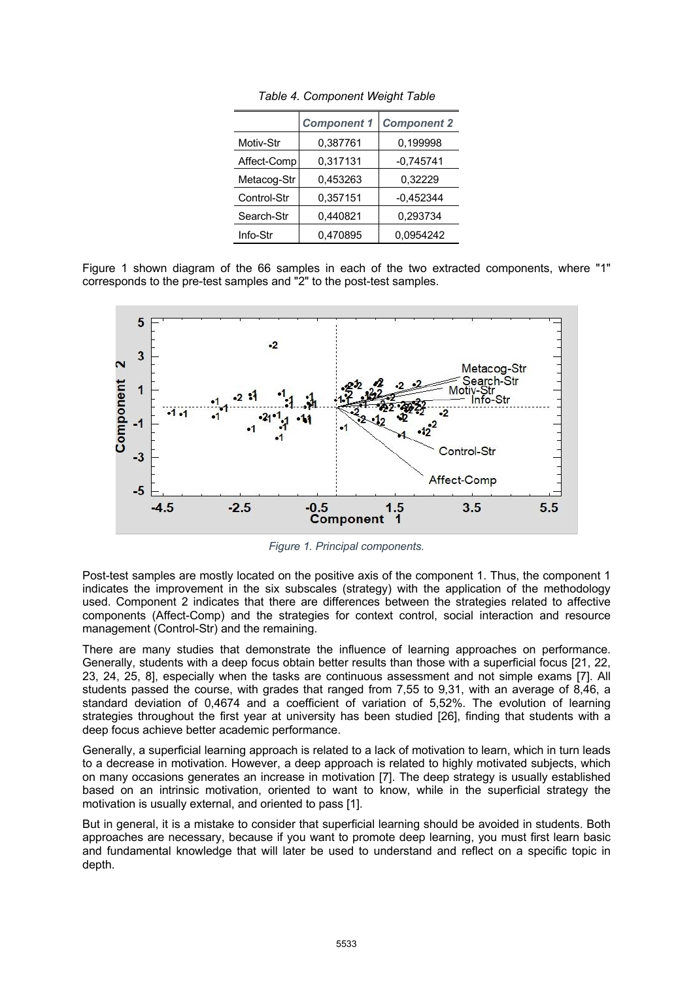|             | <b>Component 1</b> | <b>Component 2</b> |  |  |
|-------------|--------------------|--------------------|--|--|
| Motiv-Str   | 0,387761           | 0,199998           |  |  |
| Affect-Comp | 0,317131           | $-0,745741$        |  |  |
| Metacog-Str | 0,453263           | 0.32229            |  |  |
| Control-Str | 0,357151           | $-0,452344$        |  |  |
| Search-Str  | 0,440821           | 0,293734           |  |  |
| Info-Str    | 0,470895           | 0.0954242          |  |  |

*Table 4. Component Weight Table*

Figure 1 shown diagram of the 66 samples in each of the two extracted components, where "1" corresponds to the pre-test samples and "2" to the post-test samples.



*Figure 1. Principal components.* 

Post-test samples are mostly located on the positive axis of the component 1. Thus, the component 1 indicates the improvement in the six subscales (strategy) with the application of the methodology used. Component 2 indicates that there are differences between the strategies related to affective components (Affect-Comp) and the strategies for context control, social interaction and resource management (Control-Str) and the remaining.

There are many studies that demonstrate the influence of learning approaches on performance. Generally, students with a deep focus obtain better results than those with a superficial focus [21, 22, 23, 24, 25, 8], especially when the tasks are continuous assessment and not simple exams [7]. All students passed the course, with grades that ranged from 7,55 to 9,31, with an average of 8,46, a standard deviation of 0,4674 and a coefficient of variation of 5,52%. The evolution of learning strategies throughout the first year at university has been studied [26], finding that students with a deep focus achieve better academic performance.

Generally, a superficial learning approach is related to a lack of motivation to learn, which in turn leads to a decrease in motivation. However, a deep approach is related to highly motivated subjects, which on many occasions generates an increase in motivation [7]. The deep strategy is usually established based on an intrinsic motivation, oriented to want to know, while in the superficial strategy the motivation is usually external, and oriented to pass [1].

But in general, it is a mistake to consider that superficial learning should be avoided in students. Both approaches are necessary, because if you want to promote deep learning, you must first learn basic and fundamental knowledge that will later be used to understand and reflect on a specific topic in depth.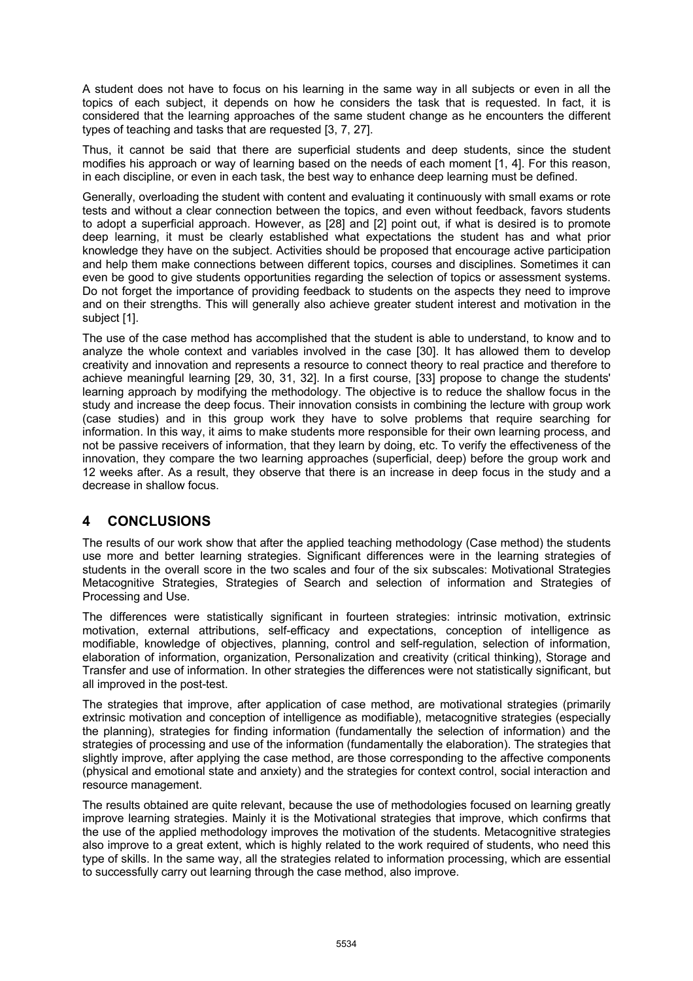A student does not have to focus on his learning in the same way in all subjects or even in all the topics of each subject, it depends on how he considers the task that is requested. In fact, it is considered that the learning approaches of the same student change as he encounters the different types of teaching and tasks that are requested [3, 7, 27].

Thus, it cannot be said that there are superficial students and deep students, since the student modifies his approach or way of learning based on the needs of each moment [1, 4]. For this reason, in each discipline, or even in each task, the best way to enhance deep learning must be defined.

Generally, overloading the student with content and evaluating it continuously with small exams or rote tests and without a clear connection between the topics, and even without feedback, favors students to adopt a superficial approach. However, as [28] and [2] point out, if what is desired is to promote deep learning, it must be clearly established what expectations the student has and what prior knowledge they have on the subject. Activities should be proposed that encourage active participation and help them make connections between different topics, courses and disciplines. Sometimes it can even be good to give students opportunities regarding the selection of topics or assessment systems. Do not forget the importance of providing feedback to students on the aspects they need to improve and on their strengths. This will generally also achieve greater student interest and motivation in the subject [1].

The use of the case method has accomplished that the student is able to understand, to know and to analyze the whole context and variables involved in the case [30]. It has allowed them to develop creativity and innovation and represents a resource to connect theory to real practice and therefore to achieve meaningful learning [29, 30, 31, 32]. In a first course, [33] propose to change the students' learning approach by modifying the methodology. The objective is to reduce the shallow focus in the study and increase the deep focus. Their innovation consists in combining the lecture with group work (case studies) and in this group work they have to solve problems that require searching for information. In this way, it aims to make students more responsible for their own learning process, and not be passive receivers of information, that they learn by doing, etc. To verify the effectiveness of the innovation, they compare the two learning approaches (superficial, deep) before the group work and 12 weeks after. As a result, they observe that there is an increase in deep focus in the study and a decrease in shallow focus.

# **4 CONCLUSIONS**

The results of our work show that after the applied teaching methodology (Case method) the students use more and better learning strategies. Significant differences were in the learning strategies of students in the overall score in the two scales and four of the six subscales: Motivational Strategies Metacognitive Strategies, Strategies of Search and selection of information and Strategies of Processing and Use.

The differences were statistically significant in fourteen strategies: intrinsic motivation, extrinsic motivation, external attributions, self-efficacy and expectations, conception of intelligence as modifiable, knowledge of objectives, planning, control and self-regulation, selection of information, elaboration of information, organization, Personalization and creativity (critical thinking), Storage and Transfer and use of information. In other strategies the differences were not statistically significant, but all improved in the post-test.

The strategies that improve, after application of case method, are motivational strategies (primarily extrinsic motivation and conception of intelligence as modifiable), metacognitive strategies (especially the planning), strategies for finding information (fundamentally the selection of information) and the strategies of processing and use of the information (fundamentally the elaboration). The strategies that slightly improve, after applying the case method, are those corresponding to the affective components (physical and emotional state and anxiety) and the strategies for context control, social interaction and resource management.

The results obtained are quite relevant, because the use of methodologies focused on learning greatly improve learning strategies. Mainly it is the Motivational strategies that improve, which confirms that the use of the applied methodology improves the motivation of the students. Metacognitive strategies also improve to a great extent, which is highly related to the work required of students, who need this type of skills. In the same way, all the strategies related to information processing, which are essential to successfully carry out learning through the case method, also improve.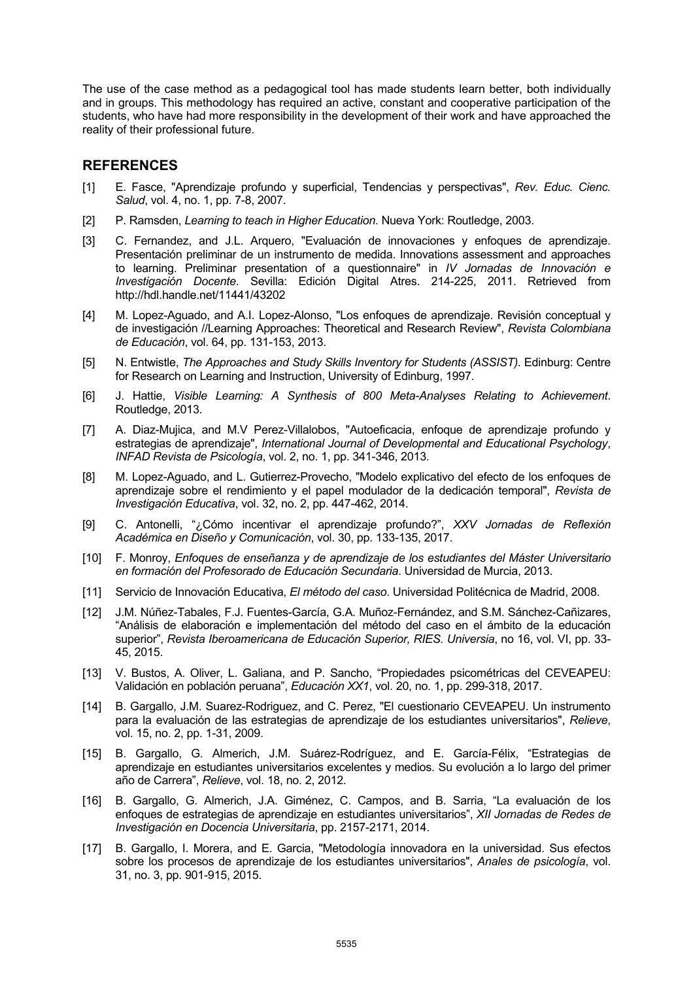The use of the case method as a pedagogical tool has made students learn better, both individually and in groups. This methodology has required an active, constant and cooperative participation of the students, who have had more responsibility in the development of their work and have approached the reality of their professional future.

#### **REFERENCES**

- [1] E. Fasce, "Aprendizaje profundo y superficial, Tendencias y perspectivas", *Rev. Educ. Cienc. Salud*, vol. 4, no. 1, pp. 7-8, 2007.
- [2] P. Ramsden, *Learning to teach in Higher Education*. Nueva York: Routledge, 2003.
- [3] C. Fernandez, and J.L. Arquero, "Evaluación de innovaciones y enfoques de aprendizaje. Presentación preliminar de un instrumento de medida. Innovations assessment and approaches to learning. Preliminar presentation of a questionnaire" in *IV Jornadas de Innovación e Investigación Docente*. Sevilla: Edición Digital Atres. 214-225, 2011. Retrieved from http://hdl.handle.net/11441/43202
- [4] M. Lopez-Aguado, and A.I. Lopez-Alonso, "Los enfoques de aprendizaje. Revisión conceptual y de investigación //Learning Approaches: Theoretical and Research Review", *Revista Colombiana de Educación*, vol. 64, pp. 131-153, 2013.
- [5] N. Entwistle, *The Approaches and Study Skills Inventory for Students (ASSIST).* Edinburg: Centre for Research on Learning and Instruction, University of Edinburg, 1997.
- [6] J. Hattie, *Visible Learning: A Synthesis of 800 Meta-Analyses Relating to Achievement*. Routledge, 2013.
- [7] A. Diaz-Mujica, and M.V Perez-Villalobos, "Autoeficacia, enfoque de aprendizaje profundo y estrategias de aprendizaje", *International Journal of Developmental and Educational Psychology*, *INFAD Revista de Psicología*, vol. 2, no. 1, pp. 341-346, 2013.
- [8] M. Lopez-Aguado, and L. Gutierrez-Provecho, "Modelo explicativo del efecto de los enfoques de aprendizaje sobre el rendimiento y el papel modulador de la dedicación temporal", *Revista de Investigación Educativa*, vol. 32, no. 2, pp. 447-462, 2014.
- [9] C. Antonelli, "¿Cómo incentivar el aprendizaje profundo?", *XXV Jornadas de Reflexión Académica en Diseño y Comunicación*, vol. 30, pp. 133-135, 2017.
- [10] F. Monroy, *Enfoques de enseñanza y de aprendizaje de los estudiantes del Máster Universitario en formación del Profesorado de Educación Secundaria*. Universidad de Murcia, 2013.
- [11] Servicio de Innovación Educativa, *El método del caso*. Universidad Politécnica de Madrid, 2008.
- [12] J.M. Núñez-Tabales, F.J. Fuentes-García, G.A. Muñoz-Fernández, and S.M. Sánchez-Cañizares, "Análisis de elaboración e implementación del método del caso en el ámbito de la educación superior", *Revista Iberoamericana de Educación Superior, RIES. Universia*, no 16, vol. VI, pp. 33- 45, 2015.
- [13] V. Bustos, A. Oliver, L. Galiana, and P. Sancho, "Propiedades psicométricas del CEVEAPEU: Validación en población peruana", *Educación XX1*, vol. 20, no. 1, pp. 299-318, 2017.
- [14] B. Gargallo, J.M. Suarez-Rodriguez, and C. Perez, "El cuestionario CEVEAPEU. Un instrumento para la evaluación de las estrategias de aprendizaje de los estudiantes universitarios", *Relieve*, vol. 15, no. 2, pp. 1-31, 2009.
- [15] B. Gargallo, G. Almerich, J.M. Suárez-Rodríguez, and E. García-Félix, "Estrategias de aprendizaje en estudiantes universitarios excelentes y medios. Su evolución a lo largo del primer año de Carrera", *Relieve*, vol. 18, no. 2, 2012.
- [16] B. Gargallo, G. Almerich, J.A. Giménez, C. Campos, and B. Sarria, "La evaluación de los enfoques de estrategias de aprendizaje en estudiantes universitarios", *XII Jornadas de Redes de Investigación en Docencia Universitaria*, pp. 2157-2171, 2014.
- [17] B. Gargallo, I. Morera, and E. Garcia, "Metodología innovadora en la universidad. Sus efectos sobre los procesos de aprendizaje de los estudiantes universitarios", *Anales de psicología*, vol. 31, no. 3, pp. 901-915, 2015.